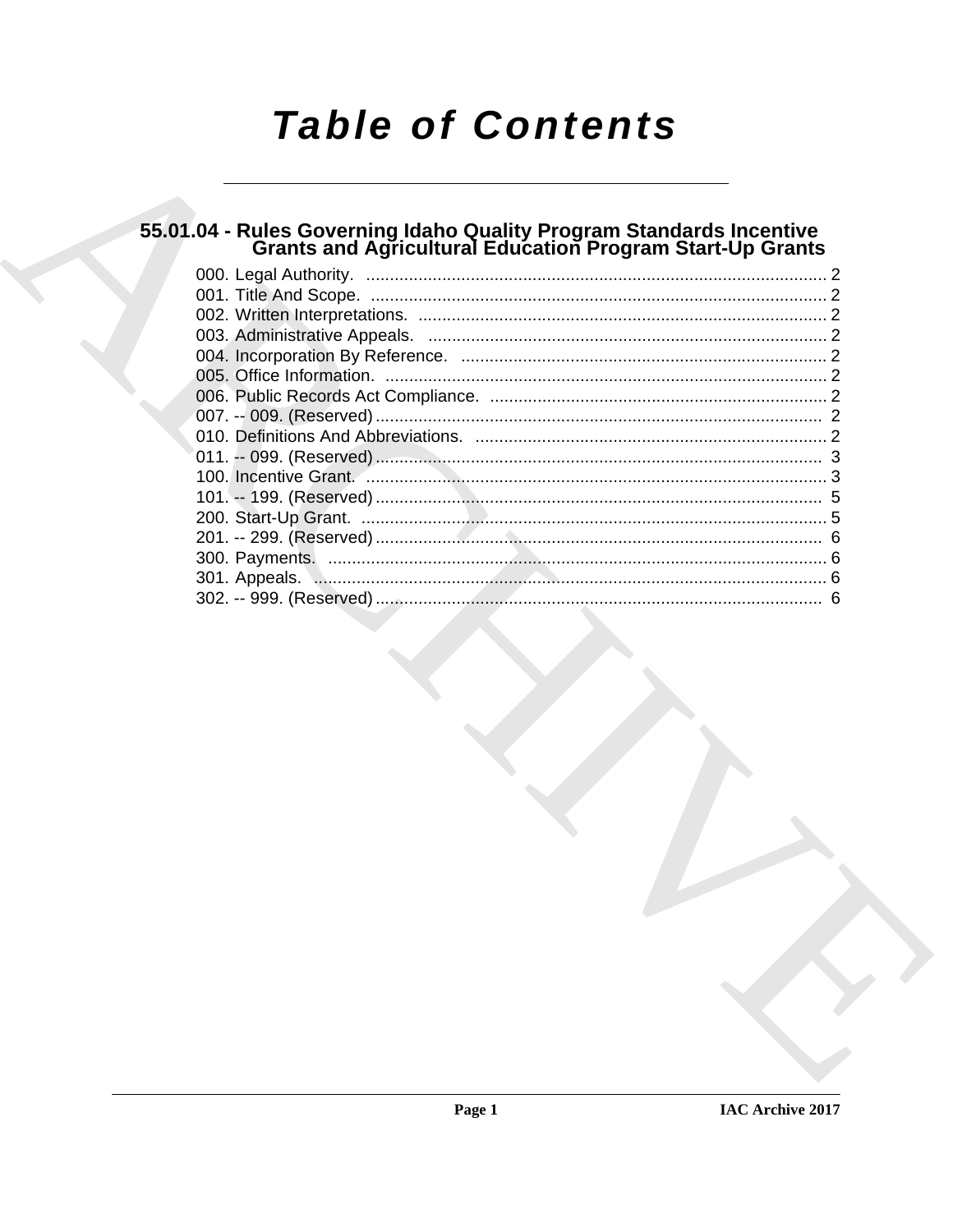# **Table of Contents**

# 55.01.04 - Rules Governing Idaho Quality Program Standards Incentive<br>Grants and Agricultural Education Program Start-Up Grants

| 6 |  |
|---|--|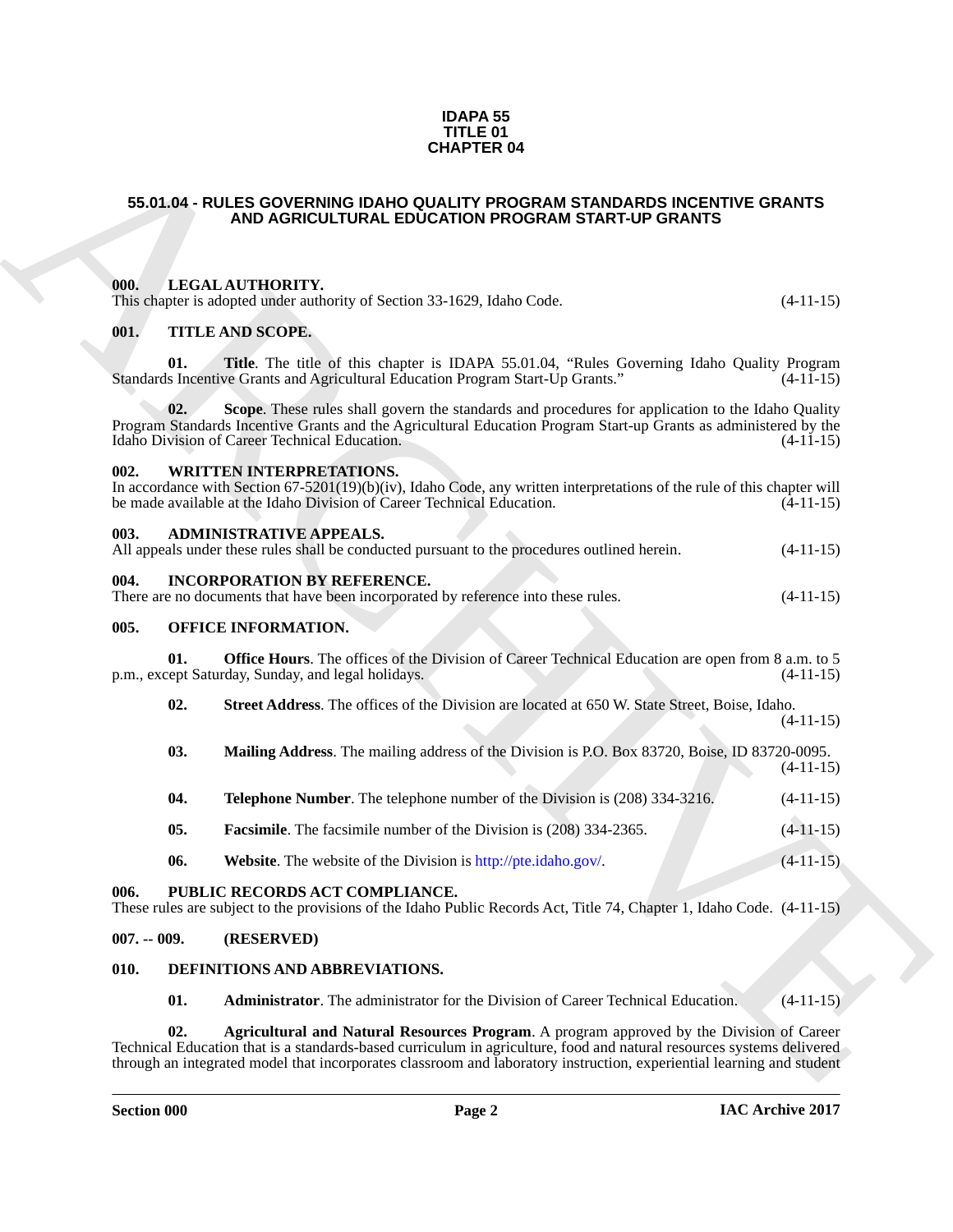#### **IDAPA 55 TITLE 01 CHAPTER 04**

#### <span id="page-1-27"></span><span id="page-1-26"></span><span id="page-1-25"></span><span id="page-1-24"></span><span id="page-1-23"></span><span id="page-1-22"></span><span id="page-1-21"></span><span id="page-1-20"></span><span id="page-1-19"></span><span id="page-1-18"></span><span id="page-1-17"></span><span id="page-1-16"></span><span id="page-1-15"></span><span id="page-1-14"></span><span id="page-1-13"></span><span id="page-1-12"></span><span id="page-1-11"></span><span id="page-1-10"></span><span id="page-1-9"></span><span id="page-1-8"></span><span id="page-1-7"></span><span id="page-1-6"></span><span id="page-1-5"></span><span id="page-1-4"></span><span id="page-1-3"></span><span id="page-1-2"></span><span id="page-1-1"></span><span id="page-1-0"></span>**55.01.04 - RULES GOVERNING IDAHO QUALITY PROGRAM STANDARDS INCENTIVE GRANTS AND AGRICULTURAL EDUCATION PROGRAM START-UP GRANTS**

| <b>CHAPTER 04</b>                                                                                                                              |                                                                                                                                                                                                                                                                                                                                            |             |  |  |  |
|------------------------------------------------------------------------------------------------------------------------------------------------|--------------------------------------------------------------------------------------------------------------------------------------------------------------------------------------------------------------------------------------------------------------------------------------------------------------------------------------------|-------------|--|--|--|
|                                                                                                                                                | 55.01.04 - RULES GOVERNING IDAHO QUALITY PROGRAM STANDARDS INCENTIVE GRANTS<br>AND AGRICULTURAL EDUCATION PROGRAM START-UP GRANTS                                                                                                                                                                                                          |             |  |  |  |
| 000.                                                                                                                                           | LEGAL AUTHORITY.<br>This chapter is adopted under authority of Section 33-1629, Idaho Code.                                                                                                                                                                                                                                                | $(4-11-15)$ |  |  |  |
| 001.<br>01.                                                                                                                                    | <b>TITLE AND SCOPE.</b><br>Title. The title of this chapter is IDAPA 55.01.04, "Rules Governing Idaho Quality Program<br>Standards Incentive Grants and Agricultural Education Program Start-Up Grants."                                                                                                                                   | $(4-11-15)$ |  |  |  |
| 02.                                                                                                                                            | Scope. These rules shall govern the standards and procedures for application to the Idaho Quality<br>Program Standards Incentive Grants and the Agricultural Education Program Start-up Grants as administered by the<br>Idaho Division of Career Technical Education.                                                                     | $(4-11-15)$ |  |  |  |
| 002.                                                                                                                                           | <b>WRITTEN INTERPRETATIONS.</b><br>In accordance with Section $67-5201(19)(b)(iv)$ , Idaho Code, any written interpretations of the rule of this chapter will<br>be made available at the Idaho Division of Career Technical Education.                                                                                                    | $(4-11-15)$ |  |  |  |
| 003.                                                                                                                                           | <b>ADMINISTRATIVE APPEALS.</b><br>All appeals under these rules shall be conducted pursuant to the procedures outlined herein.                                                                                                                                                                                                             | $(4-11-15)$ |  |  |  |
| 004.<br><b>INCORPORATION BY REFERENCE.</b><br>There are no documents that have been incorporated by reference into these rules.<br>$(4-11-15)$ |                                                                                                                                                                                                                                                                                                                                            |             |  |  |  |
| 005.                                                                                                                                           | OFFICE INFORMATION.                                                                                                                                                                                                                                                                                                                        |             |  |  |  |
| 01.                                                                                                                                            | <b>Office Hours</b> . The offices of the Division of Career Technical Education are open from 8 a.m. to 5<br>p.m., except Saturday, Sunday, and legal holidays.                                                                                                                                                                            | $(4-11-15)$ |  |  |  |
| 02.                                                                                                                                            | Street Address. The offices of the Division are located at 650 W. State Street, Boise, Idaho.                                                                                                                                                                                                                                              | $(4-11-15)$ |  |  |  |
| 03.                                                                                                                                            | Mailing Address. The mailing address of the Division is P.O. Box 83720, Boise, ID 83720-0095.                                                                                                                                                                                                                                              | $(4-11-15)$ |  |  |  |
| 04.                                                                                                                                            | Telephone Number. The telephone number of the Division is (208) 334-3216.                                                                                                                                                                                                                                                                  | $(4-11-15)$ |  |  |  |
| 05.                                                                                                                                            | <b>Facsimile.</b> The facsimile number of the Division is (208) 334-2365.                                                                                                                                                                                                                                                                  | $(4-11-15)$ |  |  |  |
| 06.                                                                                                                                            | Website. The website of the Division is http://pte.idaho.gov/.                                                                                                                                                                                                                                                                             | $(4-11-15)$ |  |  |  |
| 006.                                                                                                                                           | PUBLIC RECORDS ACT COMPLIANCE.<br>These rules are subject to the provisions of the Idaho Public Records Act, Title 74, Chapter 1, Idaho Code. (4-11-15)                                                                                                                                                                                    |             |  |  |  |
| $007. - 009.$                                                                                                                                  | (RESERVED)                                                                                                                                                                                                                                                                                                                                 |             |  |  |  |
| 010.                                                                                                                                           | DEFINITIONS AND ABBREVIATIONS.                                                                                                                                                                                                                                                                                                             |             |  |  |  |
| 01.                                                                                                                                            | <b>Administrator.</b> The administrator for the Division of Career Technical Education.                                                                                                                                                                                                                                                    | $(4-11-15)$ |  |  |  |
| 02.                                                                                                                                            | Agricultural and Natural Resources Program. A program approved by the Division of Career<br>Technical Education that is a standards-based curriculum in agriculture, food and natural resources systems delivered<br>through an integrated model that incorporates classroom and laboratory instruction, experiential learning and student |             |  |  |  |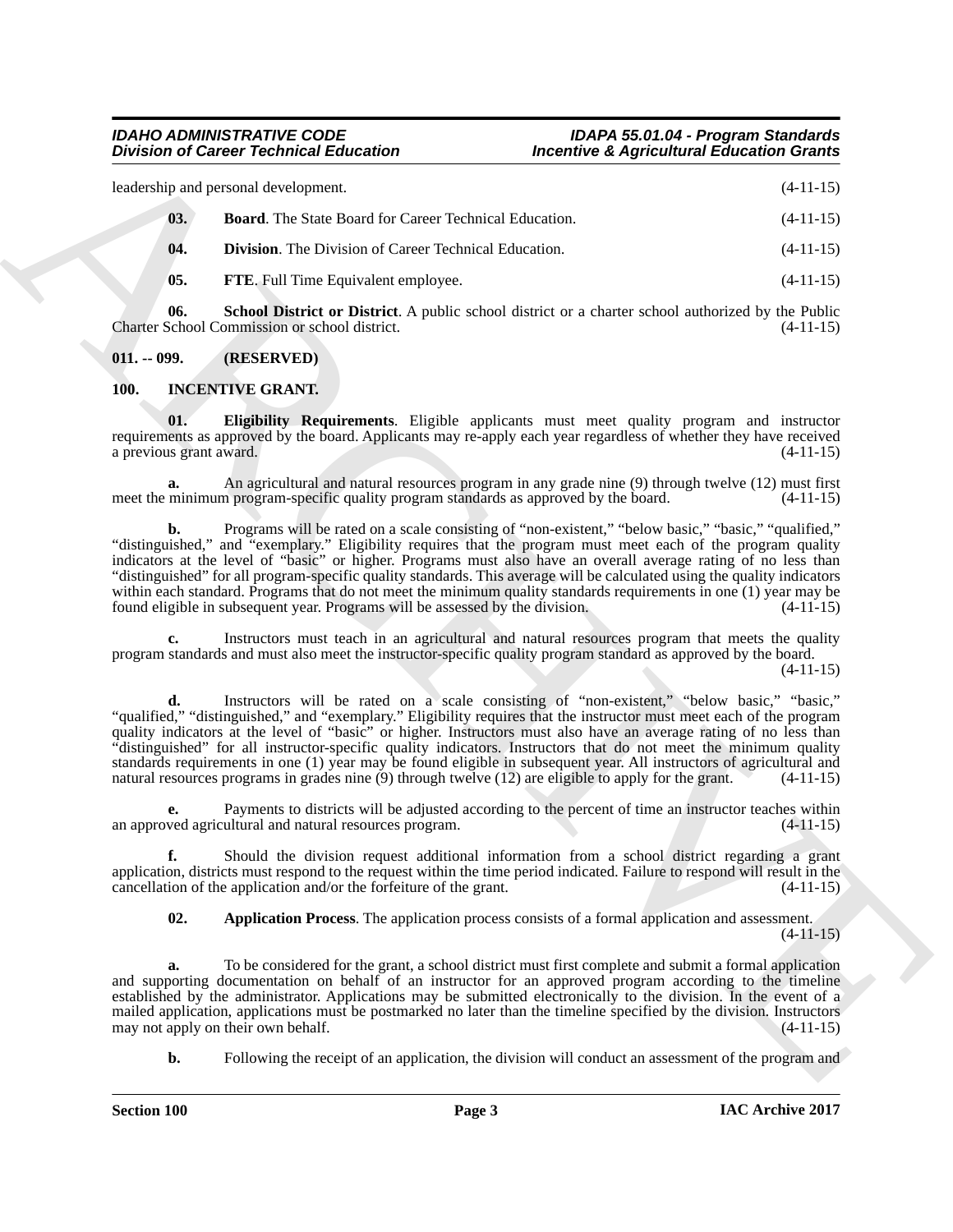leadership and personal development. (4-11-15) **03. Board**. The State Board for Career Technical Education. (4-11-15)

<span id="page-2-3"></span><span id="page-2-2"></span>**04. Division**. The Division of Career Technical Education. (4-11-15)

<span id="page-2-5"></span><span id="page-2-4"></span>**05.** FTE. Full Time Equivalent employee. (4-11-15)

**06. School District or District**. A public school district or a charter school authorized by the Public Charter School Commission or school district. (4-11-15)

<span id="page-2-0"></span>**011. -- 099. (RESERVED)**

### <span id="page-2-6"></span><span id="page-2-1"></span>**100. INCENTIVE GRANT.**

<span id="page-2-8"></span>**01. Eligibility Requirements**. Eligible applicants must meet quality program and instructor requirements as approved by the board. Applicants may re-apply each year regardless of whether they have received<br>a previous grant award. (4-11-15) a previous grant award.

**a.** An agricultural and natural resources program in any grade nine (9) through twelve (12) must first minimum program-specific quality program standards as approved by the board.  $(4-11-15)$ meet the minimum program-specific quality program standards as approved by the board.

**b.** Programs will be rated on a scale consisting of "non-existent," "below basic," "basic," "qualified," "distinguished," and "exemplary." Eligibility requires that the program must meet each of the program quality indicators at the level of "basic" or higher. Programs must also have an overall average rating of no less than "distinguished" for all program-specific quality standards. This average will be calculated using the quality indicators within each standard. Programs that do not meet the minimum quality standards requirements in one (1) year may be found eligible in subsequent year. Programs will be assessed by the division. (4-11-15) found eligible in subsequent year. Programs will be assessed by the division.

**c.** Instructors must teach in an agricultural and natural resources program that meets the quality program standards and must also meet the instructor-specific quality program standard as approved by the board.

(4-11-15)

Division of Caincer Technical Education<br>
16 (states) in the same based for these division of the same based for the same of the same of the same of the same of the same of the same of the same of the same of the same of t **d.** Instructors will be rated on a scale consisting of "non-existent," "below basic," "basic," "qualified," "distinguished," and "exemplary." Eligibility requires that the instructor must meet each of the program quality indicators at the level of "basic" or higher. Instructors must also have an average rating of no less than "distinguished" for all instructor-specific quality indicators. Instructors that do not meet the minimum quality standards requirements in one (1) year may be found eligible in subsequent year. All instructors of agricultural and natural resources programs in grades nine (9) through twelve (12) are eligible to apply for the grant. (4-11-15)

**e.** Payments to districts will be adjusted according to the percent of time an instructor teaches within ved agricultural and natural resources program.  $(4-11-15)$ an approved agricultural and natural resources program.

**f.** Should the division request additional information from a school district regarding a grant application, districts must respond to the request within the time period indicated. Failure to respond will result in the cancellation of the application and/or the forfeiture of the grant.  $(4-11-15)$ cancellation of the application and/or the forfeiture of the grant.

<span id="page-2-7"></span>**02. Application Process**. The application process consists of a formal application and assessment.

 $(4-11-15)$ 

**a.** To be considered for the grant, a school district must first complete and submit a formal application and supporting documentation on behalf of an instructor for an approved program according to the timeline established by the administrator. Applications may be submitted electronically to the division. In the event of a mailed application, applications must be postmarked no later than the timeline specified by the division. Instructors may not apply on their own behalf. (4-11-15) may not apply on their own behalf.

**b.** Following the receipt of an application, the division will conduct an assessment of the program and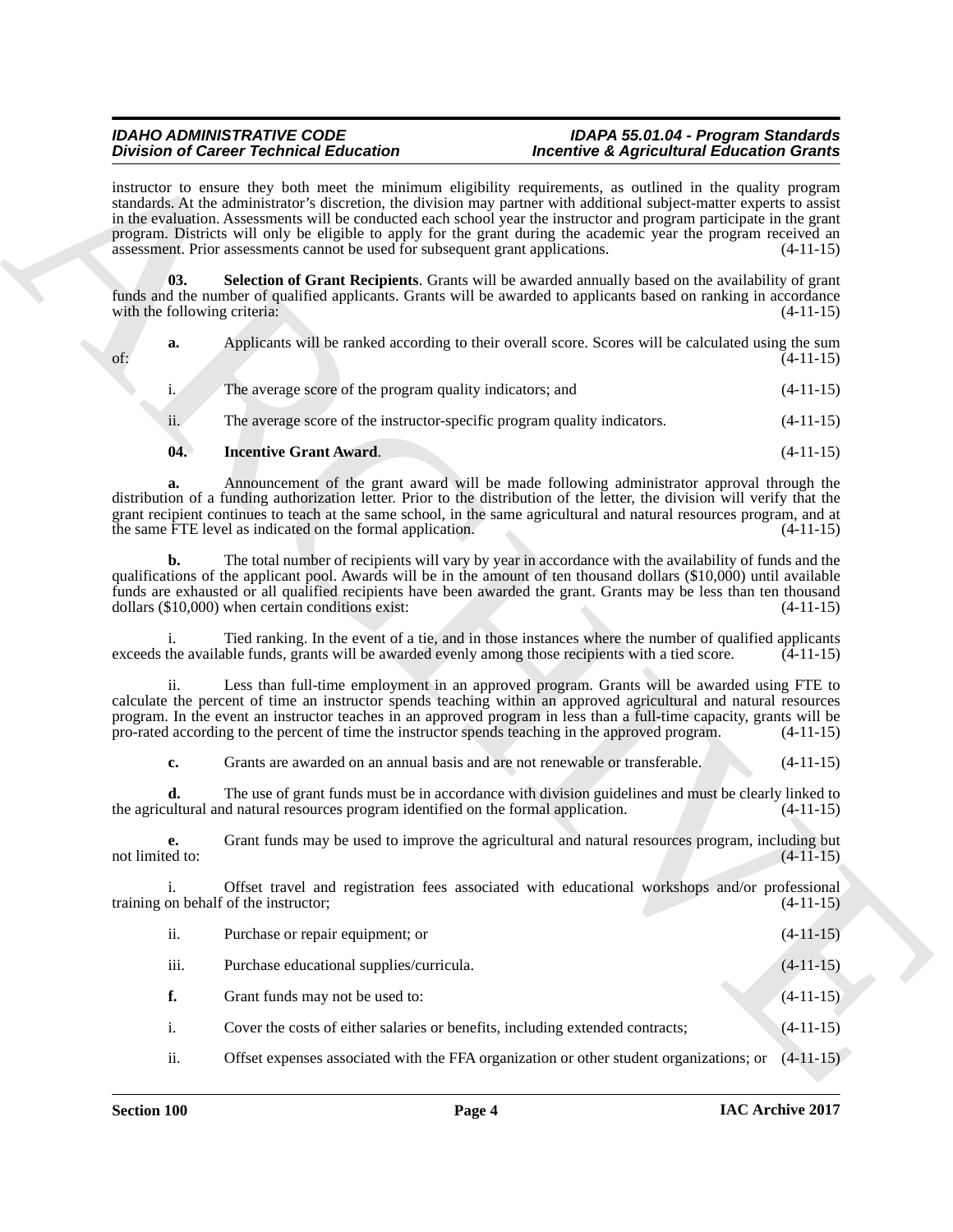#### <span id="page-3-1"></span><span id="page-3-0"></span>*IDAHO ADMINISTRATIVE CODE IDAPA 55.01.04 - Program Standards* **Incentive & Agricultural Education Grants**

|                                     | <b>Division of Career Technical Education</b>                                                      | <b>Incentive &amp; Agricultural Education Grants</b>                                                                                                                                                                                                                                                                                                                                                                                                                                 |             |
|-------------------------------------|----------------------------------------------------------------------------------------------------|--------------------------------------------------------------------------------------------------------------------------------------------------------------------------------------------------------------------------------------------------------------------------------------------------------------------------------------------------------------------------------------------------------------------------------------------------------------------------------------|-------------|
|                                     | assessment. Prior assessments cannot be used for subsequent grant applications.                    | instructor to ensure they both meet the minimum eligibility requirements, as outlined in the quality program<br>standards. At the administrator's discretion, the division may partner with additional subject-matter experts to assist<br>in the evaluation. Assessments will be conducted each school year the instructor and program participate in the grant<br>program. Districts will only be eligible to apply for the grant during the academic year the program received an | $(4-11-15)$ |
| 03.<br>with the following criteria: |                                                                                                    | Selection of Grant Recipients. Grants will be awarded annually based on the availability of grant<br>funds and the number of qualified applicants. Grants will be awarded to applicants based on ranking in accordance                                                                                                                                                                                                                                                               | $(4-11-15)$ |
| a.<br>of:                           |                                                                                                    | Applicants will be ranked according to their overall score. Scores will be calculated using the sum                                                                                                                                                                                                                                                                                                                                                                                  | $(4-11-15)$ |
| $i_{\cdot}$                         | The average score of the program quality indicators; and                                           |                                                                                                                                                                                                                                                                                                                                                                                                                                                                                      | $(4-11-15)$ |
| ii.                                 | The average score of the instructor-specific program quality indicators.                           |                                                                                                                                                                                                                                                                                                                                                                                                                                                                                      | $(4-11-15)$ |
| 04.                                 | <b>Incentive Grant Award.</b>                                                                      |                                                                                                                                                                                                                                                                                                                                                                                                                                                                                      | $(4-11-15)$ |
| a.                                  | the same FTE level as indicated on the formal application.                                         | Announcement of the grant award will be made following administrator approval through the<br>distribution of a funding authorization letter. Prior to the distribution of the letter, the division will verify that the<br>grant recipient continues to teach at the same school, in the same agricultural and natural resources program, and at                                                                                                                                     | $(4-11-15)$ |
| b.                                  | dollars $(\$10,000)$ when certain conditions exist:                                                | The total number of recipients will vary by year in accordance with the availability of funds and the<br>qualifications of the applicant pool. Awards will be in the amount of ten thousand dollars (\$10,000) until available<br>funds are exhausted or all qualified recipients have been awarded the grant. Grants may be less than ten thousand                                                                                                                                  | $(4-11-15)$ |
|                                     |                                                                                                    | Tied ranking. In the event of a tie, and in those instances where the number of qualified applicants<br>exceeds the available funds, grants will be awarded evenly among those recipients with a tied score.                                                                                                                                                                                                                                                                         | $(4-11-15)$ |
| ii.                                 | pro-rated according to the percent of time the instructor spends teaching in the approved program. | Less than full-time employment in an approved program. Grants will be awarded using FTE to<br>calculate the percent of time an instructor spends teaching within an approved agricultural and natural resources<br>program. In the event an instructor teaches in an approved program in less than a full-time capacity, grants will be                                                                                                                                              | $(4-11-15)$ |
| c.                                  | Grants are awarded on an annual basis and are not renewable or transferable.                       |                                                                                                                                                                                                                                                                                                                                                                                                                                                                                      | $(4-11-15)$ |
| d.                                  | the agricultural and natural resources program identified on the formal application.               | The use of grant funds must be in accordance with division guidelines and must be clearly linked to                                                                                                                                                                                                                                                                                                                                                                                  | $(4-11-15)$ |
| е.<br>not limited to:               |                                                                                                    | Grant funds may be used to improve the agricultural and natural resources program, including but                                                                                                                                                                                                                                                                                                                                                                                     | $(4-11-15)$ |
| $\mathbf{i}$ .                      | training on behalf of the instructor;                                                              | Offset travel and registration fees associated with educational workshops and/or professional                                                                                                                                                                                                                                                                                                                                                                                        | $(4-11-15)$ |
| ii.                                 | Purchase or repair equipment; or                                                                   |                                                                                                                                                                                                                                                                                                                                                                                                                                                                                      | $(4-11-15)$ |
| iii.                                | Purchase educational supplies/curricula.                                                           |                                                                                                                                                                                                                                                                                                                                                                                                                                                                                      | $(4-11-15)$ |
| f.                                  | Grant funds may not be used to:                                                                    |                                                                                                                                                                                                                                                                                                                                                                                                                                                                                      | $(4-11-15)$ |
| $\mathbf{i}$ .                      | Cover the costs of either salaries or benefits, including extended contracts;                      |                                                                                                                                                                                                                                                                                                                                                                                                                                                                                      | $(4-11-15)$ |
| ii.                                 |                                                                                                    | Offset expenses associated with the FFA organization or other student organizations; or                                                                                                                                                                                                                                                                                                                                                                                              | $(4-11-15)$ |
|                                     |                                                                                                    |                                                                                                                                                                                                                                                                                                                                                                                                                                                                                      |             |

| ii.  | Purchase or repair equipment; or                                              | $(4-11-15)$ |
|------|-------------------------------------------------------------------------------|-------------|
| iii. | Purchase educational supplies/curricula.                                      | $(4-11-15)$ |
| f.   | Grant funds may not be used to:                                               | $(4-11-15)$ |
|      | Cover the costs of either salaries or benefits, including extended contracts; | $(4-11-15)$ |
|      |                                                                               |             |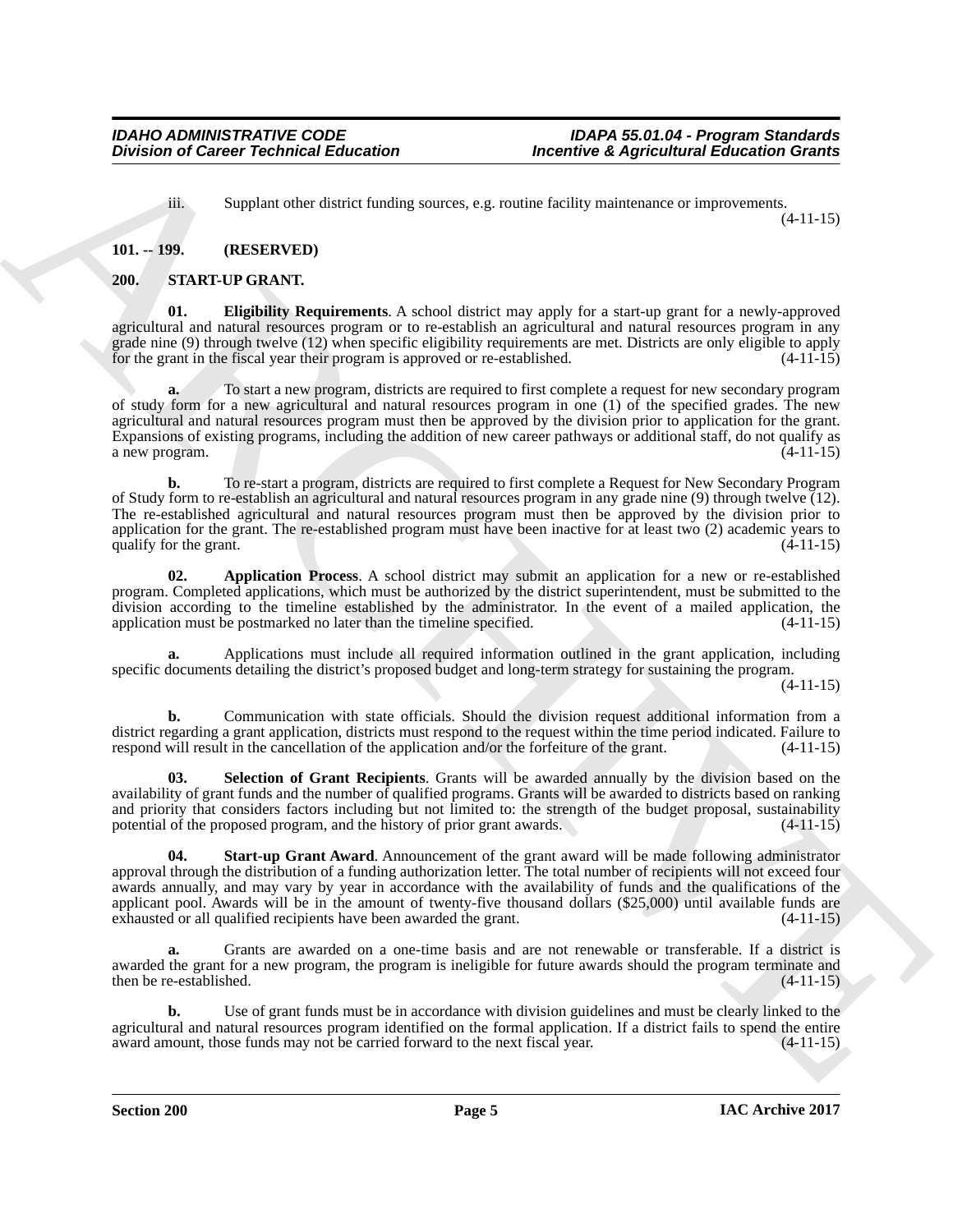<span id="page-4-4"></span>iii. Supplant other district funding sources, e.g. routine facility maintenance or improvements. (4-11-15)

# <span id="page-4-0"></span>**101. -- 199. (RESERVED)**

#### <span id="page-4-2"></span><span id="page-4-1"></span>**200. START-UP GRANT.**

**01. Eligibility Requirements**. A school district may apply for a start-up grant for a newly-approved agricultural and natural resources program or to re-establish an agricultural and natural resources program in any grade nine (9) through twelve (12) when specific eligibility requirements are met. Districts are only eligible to apply for the grant in the fiscal year their program is approved or re-established. (4-11-15) for the grant in the fiscal year their program is approved or re-established.

**Division of Caincer Technical Education**<br>
Because the statistical distinguishes are continued as a positive distinguishes of the properties of the statistical distinguishes of the statistical distinguishes of the statist **a.** To start a new program, districts are required to first complete a request for new secondary program of study form for a new agricultural and natural resources program in one (1) of the specified grades. The new agricultural and natural resources program must then be approved by the division prior to application for the grant. Expansions of existing programs, including the addition of new career pathways or additional staff, do not qualify as a new program.  $(4-11-15)$ a new program.

**b.** To re-start a program, districts are required to first complete a Request for New Secondary Program of Study form to re-establish an agricultural and natural resources program in any grade nine (9) through twelve (12). The re-established agricultural and natural resources program must then be approved by the division prior to application for the grant. The re-established program must have been inactive for at least two (2) academic years to qualify for the grant.  $(4-11-15)$ 

<span id="page-4-3"></span>**02. Application Process**. A school district may submit an application for a new or re-established program. Completed applications, which must be authorized by the district superintendent, must be submitted to the division according to the timeline established by the administrator. In the event of a mailed application, the application must be postmarked no later than the timeline specified. (4-11-15) application must be postmarked no later than the timeline specified.

**a.** Applications must include all required information outlined in the grant application, including specific documents detailing the district's proposed budget and long-term strategy for sustaining the program.

(4-11-15)

**b.** Communication with state officials. Should the division request additional information from a district regarding a grant application, districts must respond to the request within the time period indicated. Failure to respond will result in the cancellation of the application and/or the forfeiture of the grant. (4-11-15)

<span id="page-4-5"></span>**03. Selection of Grant Recipients**. Grants will be awarded annually by the division based on the availability of grant funds and the number of qualified programs. Grants will be awarded to districts based on ranking and priority that considers factors including but not limited to: the strength of the budget proposal, sustainability potential of the proposed program, and the history of prior grant awards. (4-11-15)

<span id="page-4-6"></span>**04. Start-up Grant Award**. Announcement of the grant award will be made following administrator approval through the distribution of a funding authorization letter. The total number of recipients will not exceed four awards annually, and may vary by year in accordance with the availability of funds and the qualifications of the applicant pool. Awards will be in the amount of twenty-five thousand dollars (\$25,000) until available funds are exhausted or all qualified recipients have been awarded the grant. (4-11-15)

**a.** Grants are awarded on a one-time basis and are not renewable or transferable. If a district is awarded the grant for a new program, the program is ineligible for future awards should the program terminate and then be re-established. (4-11-15)

**b.** Use of grant funds must be in accordance with division guidelines and must be clearly linked to the agricultural and natural resources program identified on the formal application. If a district fails to spend the entire award amount, those funds may not be carried forward to the next fiscal year. (4-11-15) award amount, those funds may not be carried forward to the next fiscal year.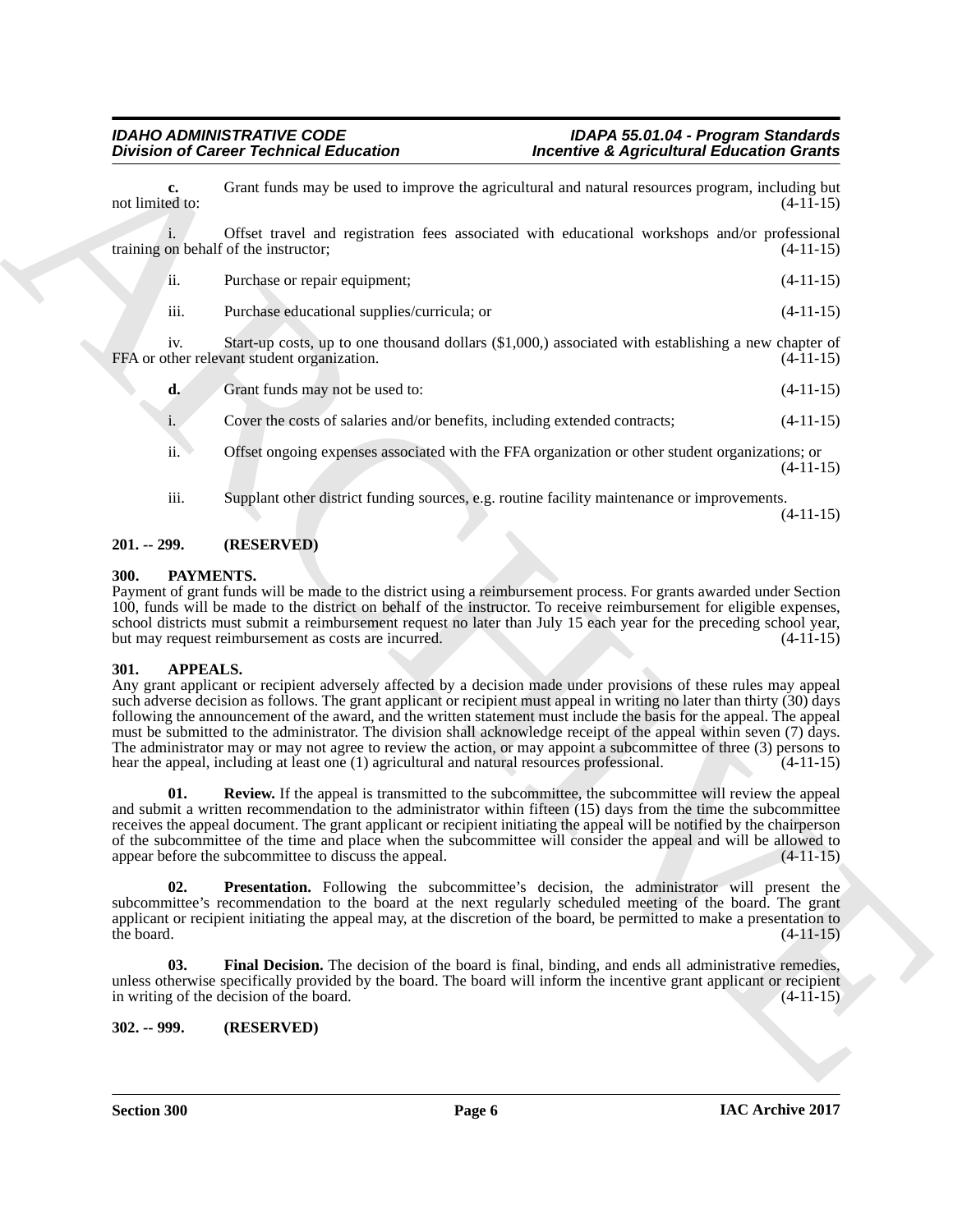**c.** Grant funds may be used to improve the agricultural and natural resources program, including but not limited to:  $(4-11-15)$ not limited to:  $(4-1\overline{1}+15)$ i. Offset travel and registration fees associated with educational workshops and/or professional

training on behalf of the instructor; (4-11-15) ii. Purchase or repair equipment; (4-11-15) iii. Purchase educational supplies/curricula; or (4-11-15)

iv. Start-up costs, up to one thousand dollars (\$1,000,) associated with establishing a new chapter of ther relevant student organization. (4-11-15) FFA or other relevant student organization.

**d.** Grant funds may not be used to:  $(4-11-15)$ 

i. Cover the costs of salaries and/or benefits, including extended contracts; (4-11-15)

ii. Offset ongoing expenses associated with the FFA organization or other student organizations; or (4-11-15)

iii. Supplant other district funding sources, e.g. routine facility maintenance or improvements. (4-11-15)

### <span id="page-5-0"></span>**201. -- 299. (RESERVED)**

### <span id="page-5-8"></span><span id="page-5-1"></span>**300. PAYMENTS.**

Payment of grant funds will be made to the district using a reimbursement process. For grants awarded under Section 100, funds will be made to the district on behalf of the instructor. To receive reimbursement for eligible expenses, school districts must submit a reimbursement request no later than July 15 each year for the preceding school year, but may request reimbursement as costs are incurred. (4-11-15)

#### <span id="page-5-4"></span><span id="page-5-2"></span>**301. APPEALS.**

Division of Caincer Technical Education<br>
and times the second behavior to the second state and the second state of the second state of the second state of the second state of the second state of the second state of the se Any grant applicant or recipient adversely affected by a decision made under provisions of these rules may appeal such adverse decision as follows. The grant applicant or recipient must appeal in writing no later than thirty (30) days following the announcement of the award, and the written statement must include the basis for the appeal. The appeal must be submitted to the administrator. The division shall acknowledge receipt of the appeal within seven (7) days. The administrator may or may not agree to review the action, or may appoint a subcommittee of three (3) persons to hear the appeal, including at least one (1) agricultural and natural resources professional. (4-11-15)

<span id="page-5-7"></span>**01.** Review. If the appeal is transmitted to the subcommittee, the subcommittee will review the appeal and submit a written recommendation to the administrator within fifteen (15) days from the time the subcommittee receives the appeal document. The grant applicant or recipient initiating the appeal will be notified by the chairperson of the subcommittee of the time and place when the subcommittee will consider the appeal and will be allowed to appear before the subcommittee to discuss the appeal. (4-11-15)

<span id="page-5-6"></span>**02. Presentation.** Following the subcommittee's decision, the administrator will present the subcommittee's recommendation to the board at the next regularly scheduled meeting of the board. The grant applicant or recipient initiating the appeal may, at the discretion of the board, be permitted to make a presentation to the board.  $(4-11-15)$ 

<span id="page-5-5"></span>**03.** Final Decision. The decision of the board is final, binding, and ends all administrative remedies, unless otherwise specifically provided by the board. The board will inform the incentive grant applicant or recipient in writing of the decision of the board. (4-11-15)

# <span id="page-5-3"></span>**302. -- 999. (RESERVED)**